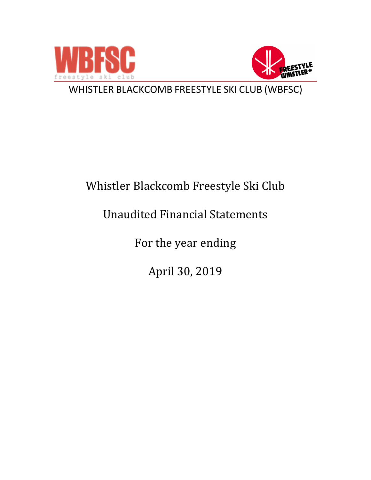



WHISTLER BLACKCOMB FREESTYLE SKI CLUB (WBFSC)

# Whistler Blackcomb Freestyle Ski Club

# Unaudited Financial Statements

For the year ending

April 30, 2019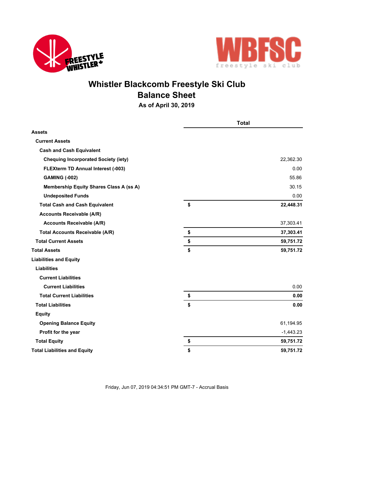



## **Whistler Blackcomb Freestyle Ski Club Balance Sheet**

**As of April 30, 2019**

|                                                | <b>Total</b> |             |
|------------------------------------------------|--------------|-------------|
| <b>Assets</b>                                  |              |             |
| <b>Current Assets</b>                          |              |             |
| <b>Cash and Cash Equivalent</b>                |              |             |
| <b>Chequing Incorporated Society (iety)</b>    |              | 22,362.30   |
| <b>FLEXterm TD Annual Interest (-003)</b>      |              | 0.00        |
| <b>GAMING (-002)</b>                           |              | 55.86       |
| <b>Membership Equity Shares Class A (ss A)</b> |              | 30.15       |
| <b>Undeposited Funds</b>                       |              | 0.00        |
| <b>Total Cash and Cash Equivalent</b>          | \$           | 22,448.31   |
| <b>Accounts Receivable (A/R)</b>               |              |             |
| <b>Accounts Receivable (A/R)</b>               |              | 37,303.41   |
| <b>Total Accounts Receivable (A/R)</b>         | \$           | 37,303.41   |
| <b>Total Current Assets</b>                    | \$           | 59,751.72   |
| <b>Total Assets</b>                            | \$           | 59,751.72   |
| <b>Liabilities and Equity</b>                  |              |             |
| <b>Liabilities</b>                             |              |             |
| <b>Current Liabilities</b>                     |              |             |
| <b>Current Liabilities</b>                     |              | 0.00        |
| <b>Total Current Liabilities</b>               | \$           | 0.00        |
| <b>Total Liabilities</b>                       | \$           | 0.00        |
| <b>Equity</b>                                  |              |             |
| <b>Opening Balance Equity</b>                  |              | 61,194.95   |
| Profit for the year                            |              | $-1,443.23$ |
| <b>Total Equity</b>                            | \$           | 59,751.72   |
| <b>Total Liabilities and Equity</b>            | \$           | 59,751.72   |

Friday, Jun 07, 2019 04:34:51 PM GMT-7 - Accrual Basis